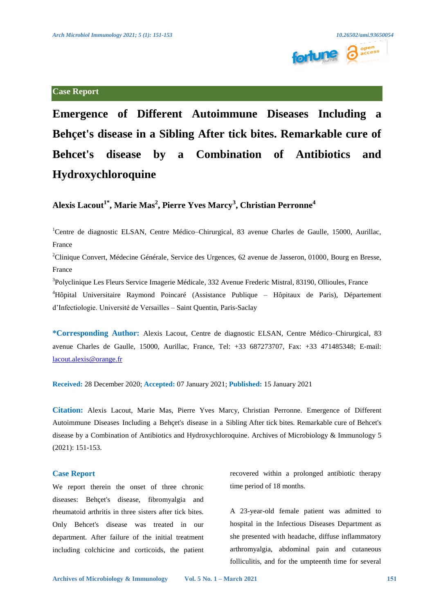

**Case Report**



**Emergence of Different Autoimmune Diseases Including a Behçet's disease in a Sibling After tick bites. Remarkable cure of Behcet's disease by a Combination of Antibiotics and Hydroxychloroquine** 

# $\mathbf{A}$ lexis Lacout $^{1^*}, \mathbf{Marie~Mas^2},$  Pierre Yves Marcy $^{3}, \mathbf{Christian~Perronne^4}$

<sup>1</sup>Centre de diagnostic ELSAN, Centre Médico-Chirurgical, 83 avenue Charles de Gaulle, 15000, Aurillac, France

 ${}^{2}$ Clinique Convert, Médecine Générale, Service des Urgences, 62 avenue de Jasseron, 01000, Bourg en Bresse, France

<sup>3</sup>Polyclinique Les Fleurs Service Imagerie Médicale, 332 Avenue Frederic Mistral, 83190, Ollioules, France 4 Hôpital Universitaire Raymond Poincaré (Assistance Publique – Hôpitaux de Paris), Département d'Infectiologie. Université de Versailles – Saint Quentin, Paris-Saclay

**\*Corresponding Author:** Alexis Lacout, Centre de diagnostic ELSAN, Centre Médico–Chirurgical, 83 avenue Charles de Gaulle, 15000, Aurillac, France, Tel: +33 687273707, Fax: +33 471485348; E-mail: [lacout.alexis@orange.fr](mailto:lacout.alexis@orange.fr) 

**Received:** 28 December 2020; **Accepted:** 07 January 2021; **Published:** 15 January 2021

**Citation:** Alexis Lacout, Marie Mas, Pierre Yves Marcy, Christian Perronne. Emergence of Different Autoimmune Diseases Including a Behçet's disease in a Sibling After tick bites. Remarkable cure of Behcet's disease by a Combination of Antibiotics and Hydroxychloroquine. Archives of Microbiology & Immunology 5 (2021): 151-153.

## **Case Report**

We report therein the onset of three chronic diseases: Behçet's disease, fibromyalgia and rheumatoid arthritis in three sisters after tick bites. Only Behcet's disease was treated in our department. After failure of the initial treatment including colchicine and corticoids, the patient recovered within a prolonged antibiotic therapy time period of 18 months.

A 23-year-old female patient was admitted to hospital in the Infectious Diseases Department as she presented with headache, diffuse inflammatory arthromyalgia, abdominal pain and cutaneous folliculitis, and for the umpteenth time for several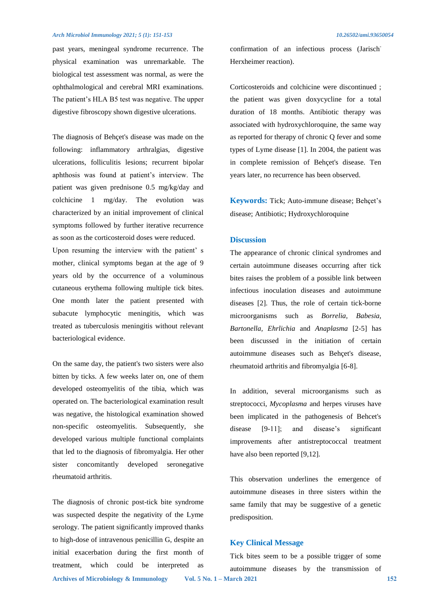#### *Arch Microbiol Immunology 2021; 5 (1): 151-153 10.26502/ami.93650054*

past years, meningeal syndrome recurrence. The physical examination was unremarkable. The biological test assessment was normal, as were the ophthalmological and cerebral MRI examinations. The patient's HLA B5 test was negative. The upper digestive fibroscopy shown digestive ulcerations.

The diagnosis of Behçet's disease was made on the following: inflammatory arthralgias, digestive ulcerations, folliculitis lesions; recurrent bipolar aphthosis was found at patient's interview. The patient was given prednisone 0.5 mg/kg/day and colchicine 1 mg/day. The evolution was characterized by an initial improvement of clinical symptoms followed by further iterative recurrence as soon as the corticosteroid doses were reduced. Upon resuming the interview with the patient' s mother, clinical symptoms began at the age of 9 years old by the occurrence of a voluminous cutaneous erythema following multiple tick bites. One month later the patient presented with subacute lymphocytic meningitis, which was treated as tuberculosis meningitis without relevant bacteriological evidence.

On the same day, the patient's two sisters were also bitten by ticks. A few weeks later on, one of them developed osteomyelitis of the tibia, which was operated on. The bacteriological examination result was negative, the histological examination showed non-specific osteomyelitis. Subsequently, she developed various multiple functional complaints that led to the diagnosis of fibromyalgia. Her other sister concomitantly developed seronegative rheumatoid arthritis.

The diagnosis of chronic post-tick bite syndrome was suspected despite the negativity of the Lyme serology. The patient significantly improved thanks to high-dose of intravenous penicillin G, despite an initial exacerbation during the first month of treatment, which could be interpreted as

confirmation of an infectious process (Jarisch-Herxheimer reaction).

Corticosteroids and colchicine were discontinued ; the patient was given doxycycline for a total duration of 18 months. Antibiotic therapy was associated with hydroxychloroquine, the same way as reported for therapy of chronic Q fever and some types of Lyme disease [1]. In 2004, the patient was in complete remission of Behçet's disease. Ten years later, no recurrence has been observed.

**Keywords:** Tick; Auto-immune disease; Behçet's disease; Antibiotic; Hydroxychloroquine

#### **Discussion**

The appearance of chronic clinical syndromes and certain autoimmune diseases occurring after tick bites raises the problem of a possible link between infectious inoculation diseases and autoimmune diseases [2]. Thus, the role of certain tick-borne microorganisms such as *Borrelia, Babesia, Bartonella, Ehrlichia* and *Anaplasma* [2-5] has been discussed in the initiation of certain autoimmune diseases such as Behçet's disease, rheumatoid arthritis and fibromyalgia [6-8].

In addition, several microorganisms such as streptococci, *Mycoplasma* and herpes viruses have been implicated in the pathogenesis of Behcet's disease [9-11]; and disease's significant improvements after antistreptococcal treatment have also been reported [9,12].

This observation underlines the emergence of autoimmune diseases in three sisters within the same family that may be suggestive of a genetic predisposition.

#### **Key Clinical Message**

**Archives of Microbiology & Immunology Vol. 5 No. 1 – March 2021 152** Tick bites seem to be a possible trigger of some autoimmune diseases by the transmission of